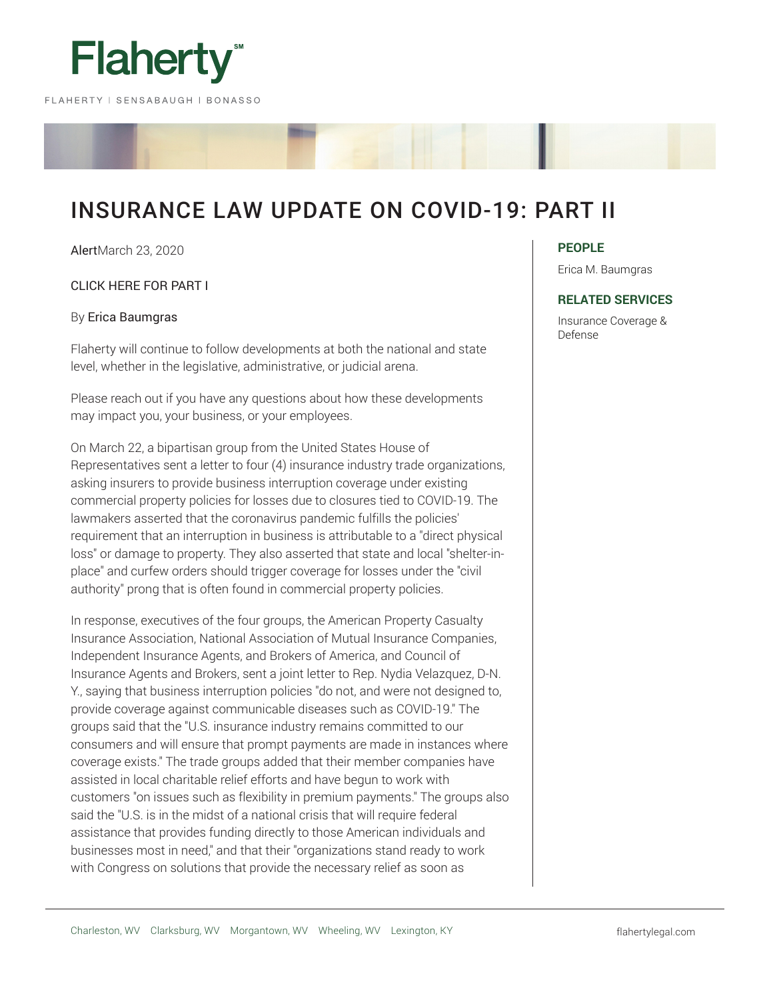

# INSURANCE LAW UPDATE ON COVID-19: PART II

AlertMarch 23, 2020

## CLICK HERE FOR PART I

#### By Erica Baumgras

Flaherty will continue to follow developments at both the national and state level, whether in the legislative, administrative, or judicial arena.

Please reach out if you have any questions about how these developments may impact you, your business, or your employees.

On March 22, a bipartisan group from the United States House of Representatives sent a letter to four (4) insurance industry trade organizations, asking insurers to provide business interruption coverage under existing commercial property policies for losses due to closures tied to COVID-19. The lawmakers asserted that the coronavirus pandemic fulfills the policies' requirement that an interruption in business is attributable to a "direct physical loss" or damage to property. They also asserted that state and local "shelter-inplace" and curfew orders should trigger coverage for losses under the "civil authority" prong that is often found in commercial property policies.

In response, executives of the four groups, the American Property Casualty Insurance Association, National Association of Mutual Insurance Companies, Independent Insurance Agents, and Brokers of America, and Council of Insurance Agents and Brokers, sent a joint letter to Rep. Nydia Velazquez, D-N. Y., saying that business interruption policies "do not, and were not designed to, provide coverage against communicable diseases such as COVID-19." The groups said that the "U.S. insurance industry remains committed to our consumers and will ensure that prompt payments are made in instances where coverage exists." The trade groups added that their member companies have assisted in local charitable relief efforts and have begun to work with customers "on issues such as flexibility in premium payments." The groups also said the "U.S. is in the midst of a national crisis that will require federal assistance that provides funding directly to those American individuals and businesses most in need," and that their "organizations stand ready to work with Congress on solutions that provide the necessary relief as soon as

#### **PEOPLE**

Erica M. Baumgras

#### **RELATED SERVICES**

Insurance Coverage & Defense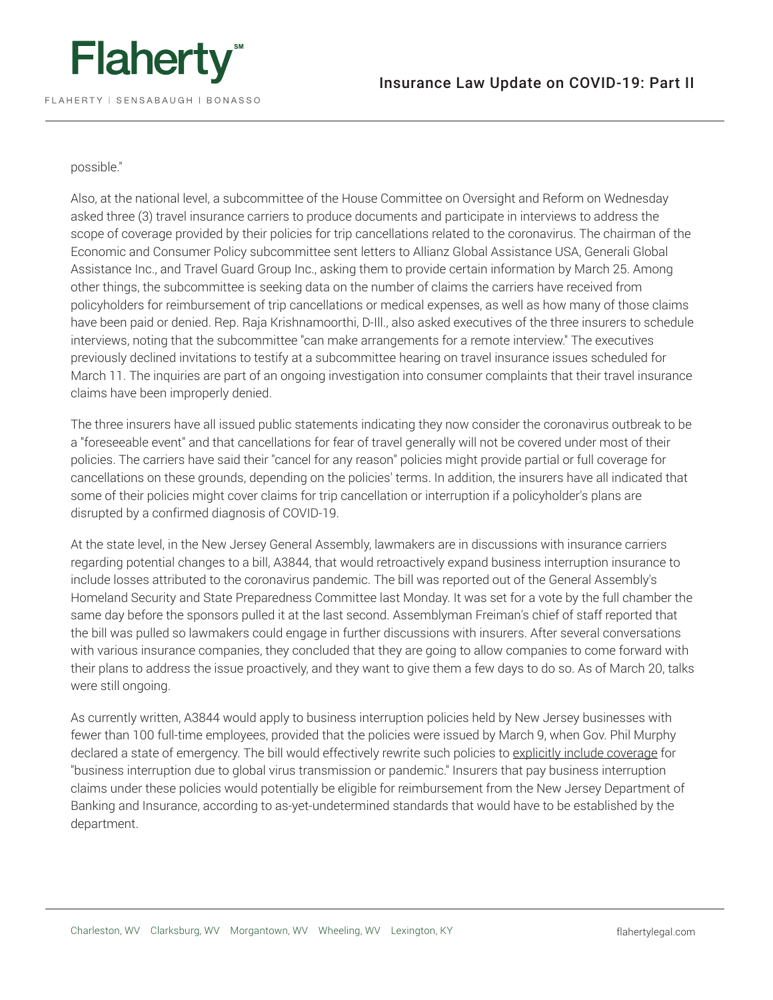

### possible."

Also, at the national level, a subcommittee of the House Committee on Oversight and Reform on Wednesday asked three (3) travel insurance carriers to produce documents and participate in interviews to address the scope of coverage provided by their policies for trip cancellations related to the coronavirus. The chairman of the Economic and Consumer Policy subcommittee sent letters to Allianz Global Assistance USA, Generali Global Assistance Inc., and Travel Guard Group Inc., asking them to provide certain information by March 25. Among other things, the subcommittee is seeking data on the number of claims the carriers have received from policyholders for reimbursement of trip cancellations or medical expenses, as well as how many of those claims have been paid or denied. Rep. Raja Krishnamoorthi, D-Ill., also asked executives of the three insurers to schedule interviews, noting that the subcommittee "can make arrangements for a remote interview." The executives previously declined invitations to testify at a subcommittee hearing on travel insurance issues scheduled for March 11. The inquiries are part of an ongoing investigation into consumer complaints that their travel insurance claims have been improperly denied.

The three insurers have all issued public statements indicating they now consider the coronavirus outbreak to be a "foreseeable event" and that cancellations for fear of travel generally will not be covered under most of their policies. The carriers have said their "cancel for any reason" policies might provide partial or full coverage for cancellations on these grounds, depending on the policies' terms. In addition, the insurers have all indicated that some of their policies might cover claims for trip cancellation or interruption if a policyholder's plans are disrupted by a confirmed diagnosis of COVID-19.

At the state level, in the New Jersey General Assembly, lawmakers are in discussions with insurance carriers regarding potential changes to a bill, A3844, that would retroactively expand business interruption insurance to include losses attributed to the coronavirus pandemic. The bill was reported out of the General Assembly's Homeland Security and State Preparedness Committee last Monday. It was set for a vote by the full chamber the same day before the sponsors pulled it at the last second. Assemblyman Freiman's chief of staff reported that the bill was pulled so lawmakers could engage in further discussions with insurers. After several conversations with various insurance companies, they concluded that they are going to allow companies to come forward with their plans to address the issue proactively, and they want to give them a few days to do so. As of March 20, talks were still ongoing.

As currently written, A3844 would apply to business interruption policies held by New Jersey businesses with fewer than 100 full-time employees, provided that the policies were issued by March 9, when Gov. Phil Murphy declared a state of emergency. The bill would effectively rewrite such policies to explicitly include coverage for "business interruption due to global virus transmission or pandemic." Insurers that pay business interruption claims under these policies would potentially be eligible for reimbursement from the New Jersey Department of Banking and Insurance, according to as-yet-undetermined standards that would have to be established by the department.